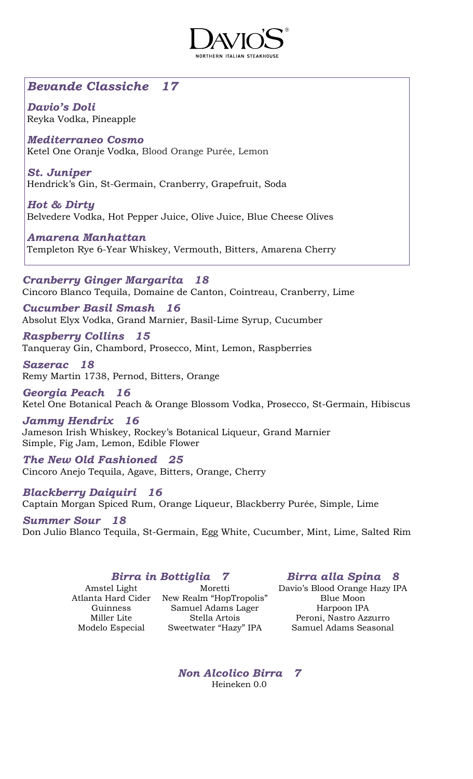

# *Bevande Classiche 17*

*Davio's Doli* Reyka Vodka, Pineapple

*Mediterraneo Cosmo* Ketel One Oranje Vodka, Blood Orange Purée, Lemon

*St. Juniper* Hendrick's Gin, St-Germain, Cranberry, Grapefruit, Soda

*Hot & Dirty* Belvedere Vodka, Hot Pepper Juice, Olive Juice, Blue Cheese Olives

*Amarena Manhattan* Templeton Rye 6-Year Whiskey, Vermouth, Bitters, Amarena Cherry

*Cranberry Ginger Margarita 18* Cincoro Blanco Tequila, Domaine de Canton, Cointreau, Cranberry, Lime

*Cucumber Basil Smash 16* Absolut Elyx Vodka, Grand Marnier, Basil-Lime Syrup, Cucumber

*Raspberry Collins 15* Tanqueray Gin, Chambord, Prosecco, Mint, Lemon, Raspberries

*Sazerac 18* Remy Martin 1738, Pernod, Bitters, Orange

*Georgia Peach 16* Ketel One Botanical Peach & Orange Blossom Vodka, Prosecco, St-Germain, Hibiscus

*Jammy Hendrix 16* Jameson Irish Whiskey, Rockey's Botanical Liqueur, Grand Marnier Simple, Fig Jam, Lemon, Edible Flower

*The New Old Fashioned 25* Cincoro Anejo Tequila, Agave, Bitters, Orange, Cherry

*Blackberry Daiquiri 16* Captain Morgan Spiced Rum, Orange Liqueur, Blackberry Purée, Simple, Lime

*Summer Sour 18* Don Julio Blanco Tequila, St-Germain, Egg White, Cucumber, Mint, Lime, Salted Rim

# *Birra in Bottiglia 7 Birra alla Spina 8*

#### Amstel Light Moretti Atlanta Hard Cider New Realm "HopTropolis" Guinness Samuel Adams Lager Miller Lite Stella Artois Modelo Especial Sweetwater "Hazy" IPA

Davio's Blood Orange Hazy IPA Blue Moon Harpoon IPA Peroni, Nastro Azzurro Samuel Adams Seasonal

*Non Alcolico Birra 7* Heineken 0.0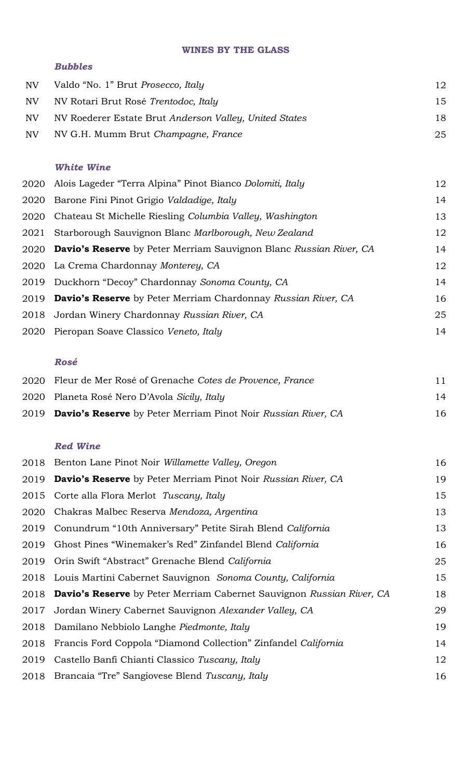#### **WINES BY THE GLASS**

### *Bubbles*

| NV | Valdo "No. 1" Brut <i>Prosecco</i> , <i>Italy</i>      | 12 |
|----|--------------------------------------------------------|----|
| NV | NV Rotari Brut Rosé Trentodoc, Italy                   | 15 |
| NV | NV Roederer Estate Brut Anderson Valley, United States | 18 |
| NV | NV G.H. Mumm Brut Champagne, France                    | 25 |

# *White Wine*

|      | 2020 Alois Lageder "Terra Alpina" Pinot Bianco Dolomiti, Italy                 | 12 |
|------|--------------------------------------------------------------------------------|----|
|      | 2020 Barone Fini Pinot Grigio Valdadige, Italy                                 | 14 |
|      | 2020 Chateau St Michelle Riesling Columbia Valley, Washington                  | 13 |
| 2021 | Starborough Sauvignon Blanc Marlborough, New Zealand                           | 12 |
|      | 2020 <b>Davio's Reserve</b> by Peter Merriam Sauvignon Blanc Russian River, CA | 14 |
|      | 2020 La Crema Chardonnay Monterey, CA                                          | 12 |
|      | 2019 Duckhorn "Decoy" Chardonnay Sonoma County, CA                             | 14 |
|      | 2019 Davio's Reserve by Peter Merriam Chardonnay Russian River, CA             | 16 |
|      | 2018 Jordan Winery Chardonnay Russian River, CA                                | 25 |
|      | 2020 Pieropan Soave Classico Veneto, Italy                                     | 14 |
|      |                                                                                |    |

# *Rosé*

| 2019 Davio's Reserve by Peter Merriam Pinot Noir Russian River, CA | 16 |
|--------------------------------------------------------------------|----|
| 2020 Planeta Rosé Nero D'Avola Sicily, Italy                       | 14 |
| 2020 Fleur de Mer Rosé of Grenache Cotes de Provence, France       | 11 |

#### *Red Wine*

|      | 2018 Benton Lane Pinot Noir Willamette Valley, Oregon                             | 16 |
|------|-----------------------------------------------------------------------------------|----|
|      | 2019 <b>Davio's Reserve</b> by Peter Merriam Pinot Noir Russian River, CA         | 19 |
|      | 2015 Corte alla Flora Merlot Tuscany, Italy                                       | 15 |
| 2020 | Chakras Malbec Reserva Mendoza, Argentina                                         | 13 |
| 2019 | Conundrum "10th Anniversary" Petite Sirah Blend California                        | 13 |
| 2019 | Ghost Pines "Winemaker's Red" Zinfandel Blend California                          | 16 |
|      | 2019 Orin Swift "Abstract" Grenache Blend California                              | 25 |
|      | 2018 Louis Martini Cabernet Sauvignon Sonoma County, California                   | 15 |
|      | 2018 <b>Davio's Reserve</b> by Peter Merriam Cabernet Sauvignon Russian River, CA | 18 |
| 2017 | Jordan Winery Cabernet Sauvignon Alexander Valley, CA                             | 29 |
|      | 2018 Damilano Nebbiolo Langhe Piedmonte, Italy                                    | 19 |
|      | 2018 Francis Ford Coppola "Diamond Collection" Zinfandel California               | 14 |
| 2019 | Castello Banfi Chianti Classico Tuscany, Italy                                    | 12 |
|      | 2018 Brancaia "Tre" Sangiovese Blend Tuscany, Italy                               | 16 |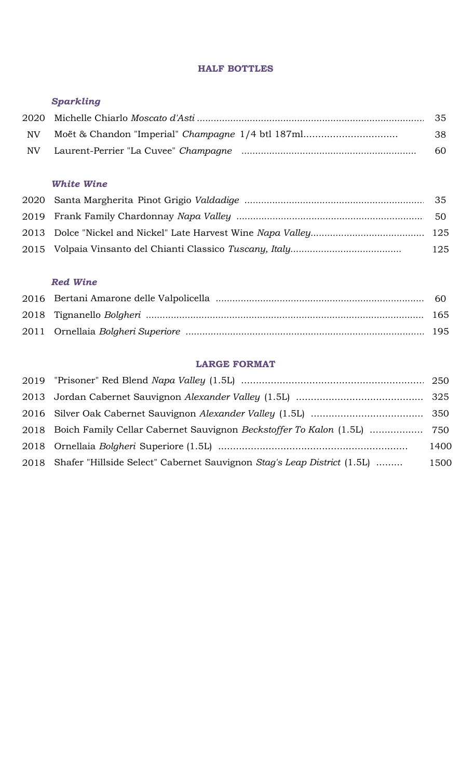#### **HALF BOTTLES**

# *Sparkling*

| NV | Moët & Chandon "Imperial" Champagne 1/4 btl 187ml | -38 |
|----|---------------------------------------------------|-----|
|    |                                                   | 60  |

# *White Wine*

|  | - 125 |
|--|-------|

# *Red Wine*

### **LARGE FORMAT**

| 2018 Boich Family Cellar Cabernet Sauvignon Beckstoffer To Kalon (1.5L)  750 |      |
|------------------------------------------------------------------------------|------|
|                                                                              | 1400 |
| 2018 Shafer "Hillside Select" Cabernet Sauvignon Stag's Leap District (1.5L) | 1500 |
|                                                                              |      |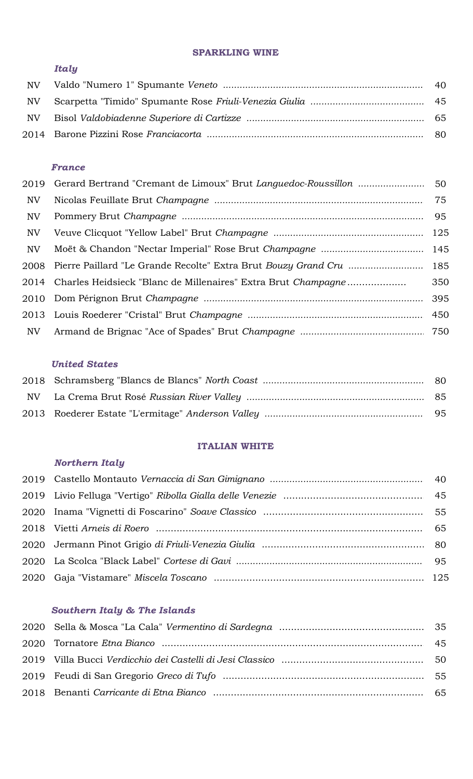#### **SPARKLING WINE**

# *Italy*

# *France*

|     | 2019 Gerard Bertrand "Cremant de Limoux" Brut Languedoc-Roussillon  50   |     |
|-----|--------------------------------------------------------------------------|-----|
| NV  |                                                                          |     |
| NV  |                                                                          | 95  |
| NV  |                                                                          |     |
| NV  |                                                                          |     |
|     | 2008 Pierre Paillard "Le Grande Recolte" Extra Brut Bouzy Grand Cru  185 |     |
|     | 2014 Charles Heidsieck "Blanc de Millenaires" Extra Brut Champagne       | 350 |
|     |                                                                          | 395 |
|     |                                                                          |     |
| NV. |                                                                          |     |

#### *United States*

### **ITALIAN WHITE**

## *Northern Italy*

# *Southern Italy & The Islands*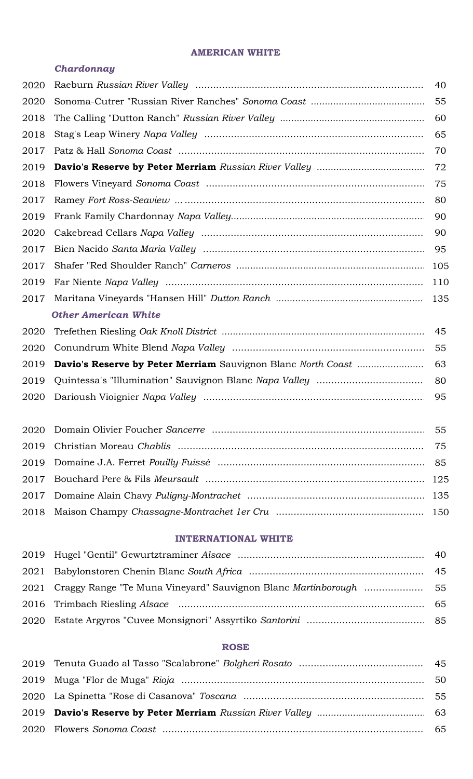#### **AMERICAN WHITE**

#### *Chardonnay*

| 2020 |                             | 40 |
|------|-----------------------------|----|
| 2020 |                             |    |
| 2018 |                             | 60 |
| 2018 |                             | 65 |
| 2017 |                             |    |
| 2019 |                             |    |
| 2018 |                             |    |
| 2017 |                             |    |
| 2019 |                             | 90 |
| 2020 |                             | 90 |
| 2017 |                             |    |
| 2017 |                             |    |
| 2019 |                             |    |
| 2017 |                             |    |
|      | <b>Other American White</b> |    |
| 2020 |                             |    |
| 2020 |                             | 55 |
| 2019 |                             | 63 |
| 2019 |                             | 80 |
| 2020 |                             | 95 |
|      |                             |    |
| 2020 |                             | 55 |
| 2019 |                             | 75 |
| 2019 |                             |    |
|      |                             |    |

# Bouchard Pere & Fils *Meursault* .......................................................................................... 125 Domaine Alain Chavy *Puligny-Montrachet* .......................................................................................... 135 Maison Champy *Chassagne-Montrachet 1er Cru* .......................................................................................... 150

# **INTERNATIONAL WHITE**

#### **ROSE**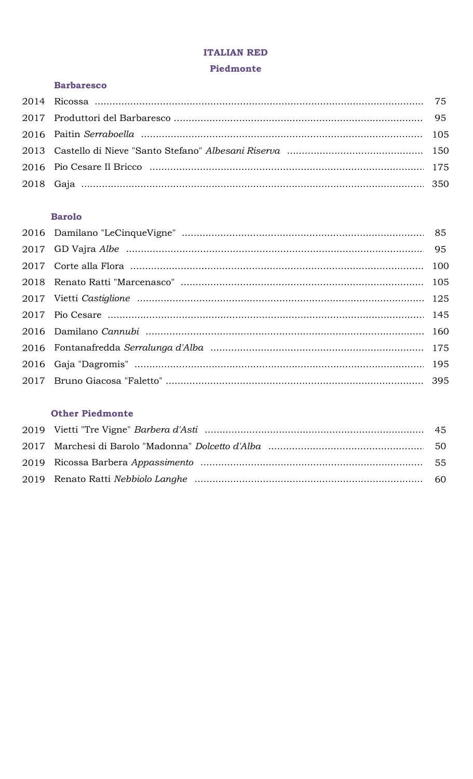#### **ITALIAN RED**

#### Piedmonte

# **Barbaresco**

# **Barolo**

# **Other Piedmonte**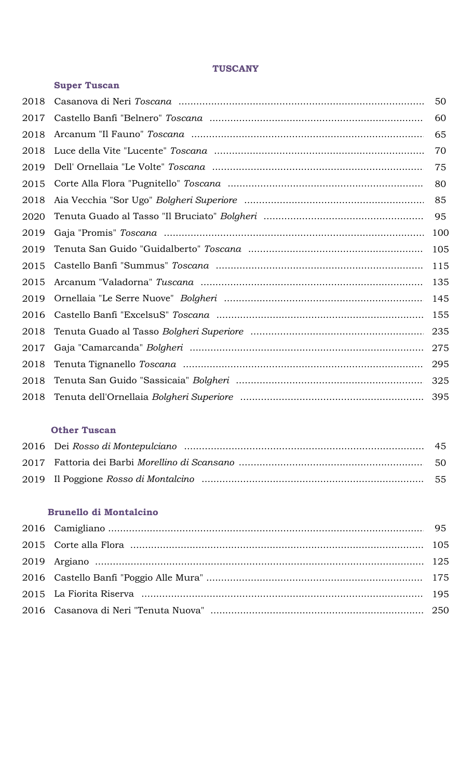### **TUSCANY**

|      | <b>Super Tuscan</b> |     |
|------|---------------------|-----|
| 2018 |                     | 50  |
| 2017 |                     | 60  |
| 2018 |                     | 65  |
| 2018 |                     | 70  |
| 2019 |                     | 75  |
| 2015 |                     | 80  |
| 2018 |                     | 85  |
| 2020 |                     | 95  |
| 2019 |                     | 100 |
| 2019 |                     | 105 |
| 2015 |                     | 115 |
| 2015 |                     | 135 |
| 2019 |                     | 145 |
| 2016 |                     | 155 |
| 2018 |                     | 235 |
| 2017 |                     | 275 |
| 2018 |                     | 295 |
| 2018 |                     | 325 |
| 2018 |                     | 395 |

# **Other Tuscan**

#### **Brunello di Montalcino**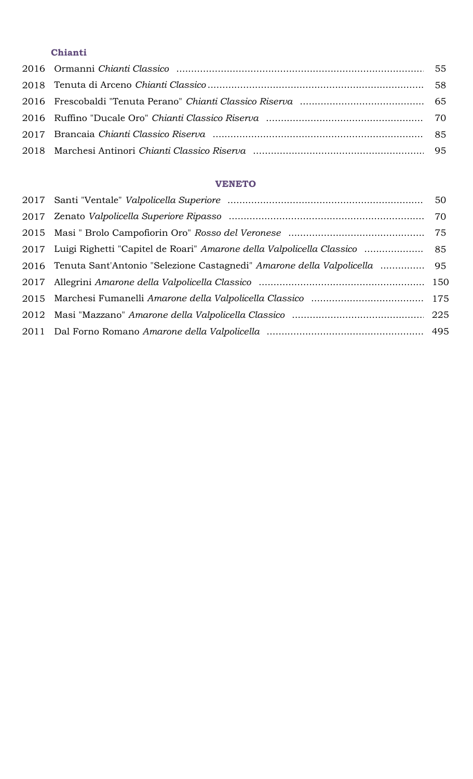# **Chianti**

# **VENETO**

| 2017 Luigi Righetti "Capitel de Roari" Amarone della Valpolicella Classico  85 |  |
|--------------------------------------------------------------------------------|--|
| 2016 Tenuta Sant'Antonio "Selezione Castagnedi" Amarone della Valpolicella  95 |  |
|                                                                                |  |
|                                                                                |  |
|                                                                                |  |
|                                                                                |  |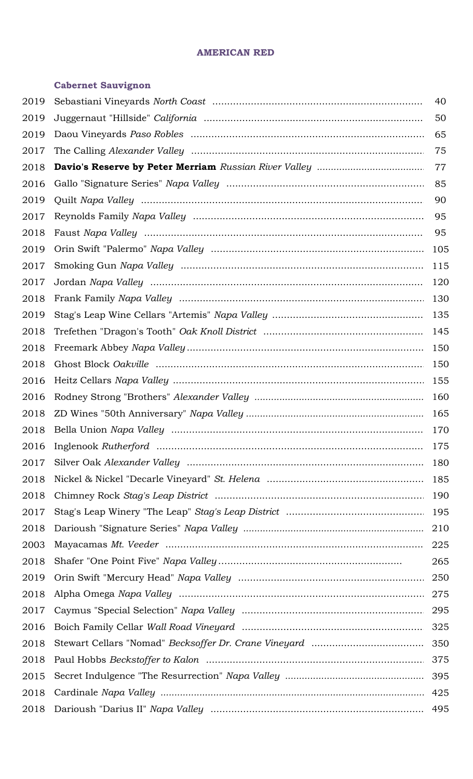#### **AMERICAN RED**

# **Cabernet Sauvignon**

| 2019 | 40  |
|------|-----|
| 2019 | 50  |
| 2019 | 65  |
| 2017 | 75  |
| 2018 | 77  |
| 2016 | 85  |
| 2019 | 90  |
| 2017 | 95  |
| 2018 | 95  |
| 2019 | 105 |
| 2017 | 115 |
| 2017 | 120 |
| 2018 | 130 |
| 2019 | 135 |
| 2018 | 145 |
| 2018 | 150 |
| 2018 | 150 |
| 2016 | 155 |
| 2016 | 160 |
| 2018 | 165 |
| 2018 | 170 |
| 2016 | 175 |
| 2017 | 180 |
| 2018 | 185 |
| 2018 | 190 |
| 2017 | 195 |
| 2018 | 210 |
| 2003 | 225 |
| 2018 | 265 |
| 2019 |     |
| 2018 |     |
| 2017 |     |
| 2016 |     |
| 2018 |     |
| 2018 |     |
| 2015 |     |
| 2018 |     |
| 2018 |     |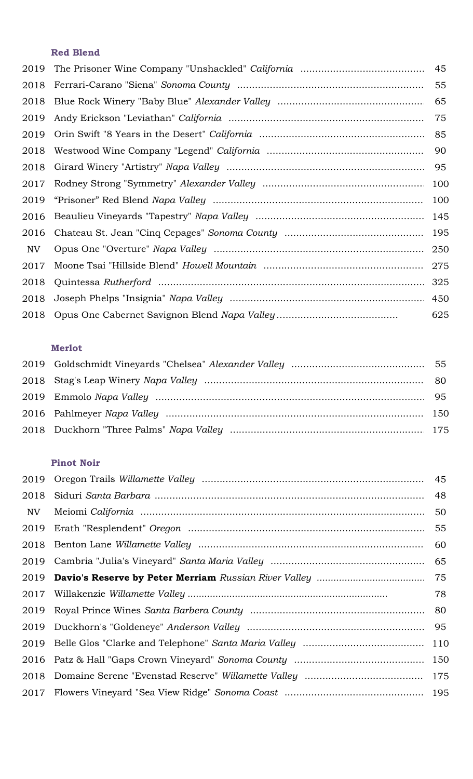# **Red Blend**

|      | 45  |
|------|-----|
| 2018 | 55  |
| 2018 | 65  |
| 2019 | 75  |
| 2019 | 85  |
| 2018 | 90  |
| 2018 | 95  |
| 2017 | 100 |
|      | 100 |
| 2016 | 145 |
| 2016 | 195 |
| NV   | 250 |
| 2017 | 275 |
| 2018 | 325 |
| 2018 |     |
|      | 625 |

# **Merlot**

# **Pinot Noir**

| 2019 | 45  |
|------|-----|
| 2018 | 48  |
| NV   | 50  |
| 2019 | 55  |
| 2018 | 60  |
| 2019 | 65  |
| 2019 | 75  |
|      | 78  |
| 2019 |     |
| 2019 | 95  |
|      | 110 |
|      | 150 |
| 2018 | 175 |
|      | 195 |